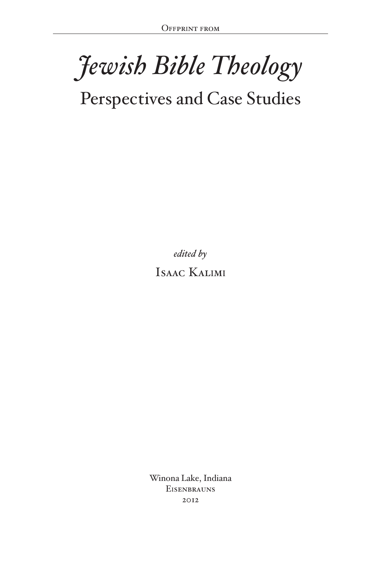# *Jewish Bible Theology*

Perspectives and Case Studies

*edited by* Isaac Kalimi

Winona Lake, Indiana **EISENBRAUNS** 2012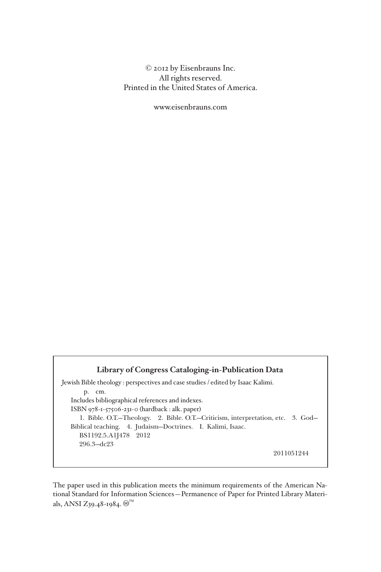© 2012 by Eisenbrauns Inc. All rights reserved. Printed in the United States of America.

www.eisenbrauns.com

#### **Library of Congress Cataloging-in-Publication Data**

Jewish Bible theology : perspectives and case studies / edited by Isaac Kalimi. p. cm. Includes bibliographical references and indexes. ISBN 978-1-57506-231-0 (hardback : alk. paper) 1. Bible. O.T.—Theology. 2. Bible. O.T.—Criticism, interpretation, etc. 3. God— Biblical teaching. 4. Judaism—Doctrines. I. Kalimi, Isaac. BS1192.5.A1J478 2012 296.3—dc23 2011051244

The paper used in this publication meets the minimum requirements of the American National Standard for Information Sciences—Permanence of Paper for Printed Library Materials, ANSI Z39.48-1984.  $\otimes^{m}$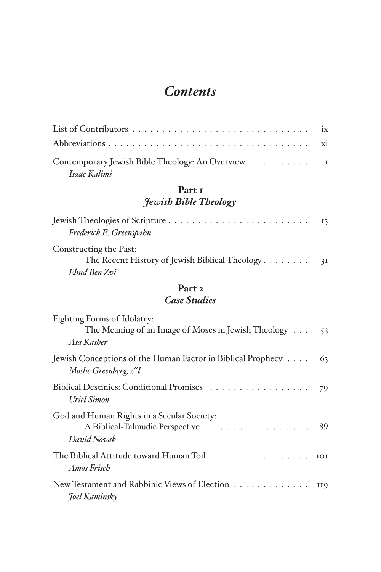## *Contents*

| Contemporary Jewish Bible Theology: An Overview |  |  |  |  |
|-------------------------------------------------|--|--|--|--|
| Isaac Kalimi                                    |  |  |  |  |

#### **Part 1**

# *Jewish Bible Theology*

| Frederick E. Greenspahn                           |  |
|---------------------------------------------------|--|
| Constructing the Past:                            |  |
| The Recent History of Jewish Biblical Theology 31 |  |
| Ehud Ben Zvi                                      |  |

## **Part 2**

#### *Case Studies*

| Fighting Forms of Idolatry:<br>The Meaning of an Image of Moses in Jewish Theology $\dots$<br>Asa Kasher | 53 |
|----------------------------------------------------------------------------------------------------------|----|
| Jewish Conceptions of the Human Factor in Biblical Prophecy<br>Moshe Greenberg, z"l                      | 63 |
| Uriel Simon                                                                                              |    |
| God and Human Rights in a Secular Society:<br>A Biblical-Talmudic Perspective<br>David Novak             | 89 |
| Amos Frisch                                                                                              |    |
| New Testament and Rabbinic Views of Election 119<br>Joel Kaminsky                                        |    |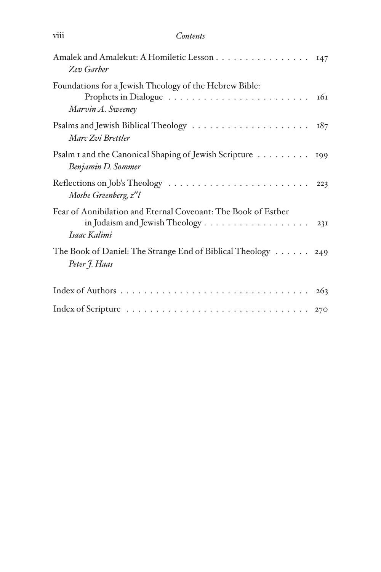| viii              | Contents                                                                                    |  |
|-------------------|---------------------------------------------------------------------------------------------|--|
| Zev Garber        | Amalek and Amalekut: A Homiletic Lesson 147                                                 |  |
|                   | Foundations for a Jewish Theology of the Hebrew Bible:<br>Marvin A. Sweeney                 |  |
| Marc Zvi Brettler | Psalms and Jewish Biblical Theology $\dots \dots \dots \dots \dots \dots \dots \dots \dots$ |  |
|                   | Psalm I and the Canonical Shaping of Jewish Scripture 199<br>Benjamin D. Sommer             |  |
|                   | Moshe Greenberg, z"l                                                                        |  |
| Isaac Kalimi      | Fear of Annihilation and Eternal Covenant: The Book of Esther                               |  |
| Peter J. Haas     | The Book of Daniel: The Strange End of Biblical Theology $\ldots \ldots$ 249                |  |
|                   |                                                                                             |  |
|                   |                                                                                             |  |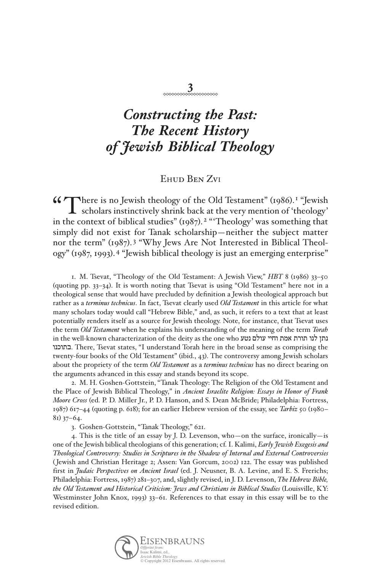### **3**

# *Constructing the Past: The Recent History of Jewish Biblical Theology*

#### Ehud Ben Zvi

"There is no Jewish theology of the Old Testament" (1986).1 "Jewish scholars instinctively shrink back at the very mention of 'theology' in the context of biblical studies" (1987). 2 "'Theology' was something that simply did not exist for Tanak scholarship—neither the subject matter nor the term" (1987). 3 "Why Jews Are Not Interested in Biblical Theology" (1987, 1993).4 "Jewish biblical theology is just an emerging enterprise"

1. M. Tsevat, "Theology of the Old Testament: A Jewish View," *HBT* 8 (1986) 33–50 (quoting pp. 33–34). It is worth noting that Tsevat is using "Old Testament" here not in a theological sense that would have precluded by definition a Jewish theological approach but rather as a *terminus technicus*. In fact, Tsevat clearly used *Old Testament* in this article for what many scholars today would call "Hebrew Bible," and, as such, it refers to a text that at least potentially renders itself as a source for Jewish theology. Note, for instance, that Tsevat uses the term *Old Testament* when he explains his understanding of the meaning of the term *Torah* in the well-known characterization of the deity as the one who נטע עולם וחיי אמת תורת לנו נתן בתוכנו. There, Tsevat states, "I understand Torah here in the broad sense as comprising the twenty-four books of the Old Testament" (ibid., 43). The controversy among Jewish scholars about the propriety of the term *Old Testament* as a *terminus technicus* has no direct bearing on the arguments advanced in this essay and stands beyond its scope.

2. M. H. Goshen-Gottstein, "Tanak Theology: The Religion of the Old Testament and the Place of Jewish Biblical Theology," in *Ancient Israelite Religion: Essays in Honor of Frank Moore Cross* (ed. P. D. Miller Jr., P. D. Hanson, and S. Dean McBride; Philadelphia: Fortress, 1987) 617–44 (quoting p. 618); for an earlier Hebrew version of the essay, see *Tarbiz* 50 (1980– 81) 37–64.

3. Goshen-Gottstein, "Tanak Theology," 621.

4. This is the title of an essay by J. D. Levenson, who—on the surface, ironically—is one of the Jewish biblical theologians of this generation; cf. I. Kalimi, *Early Jewish Exegesis and Theological Controversy: Studies in Scriptures in the Shadow of Internal and External Controversies* ( Jewish and Christian Heritage 2; Assen: Van Gorcum, 2002) 122. The essay was published first in *Judaic Perspectives on Ancient Israel* (ed. J. Neusner, B. A. Levine, and E. S. Frerichs; Philadelphia: Fortress, 1987) 281–307, and, slightly revised, in J. D. Levenson, *The Hebrew Bible, the Old Testament and Historical Criticism: Jews and Christians in Biblical Studies* (Louisville, KY: Westminster John Knox, 1993) 33–61. References to that essay in this essay will be to the revised edition.

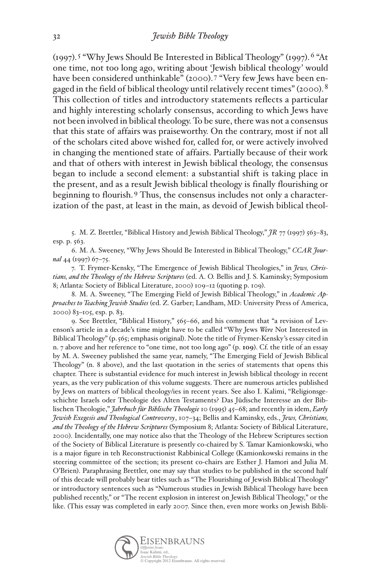(1997). 5 "Why Jews Should Be Interested in Biblical Theology" (1997). 6 "At one time, not too long ago, writing about 'Jewish biblical theology' would have been considered unthinkable" (2000).<sup>7</sup> "Very few Jews have been engaged in the field of biblical theology until relatively recent times" (2000). <sup>8</sup> This collection of titles and introductory statements reflects a particular and highly interesting scholarly consensus, according to which Jews have not been involved in biblical theology. To be sure, there was not a consensus that this state of affairs was praiseworthy. On the contrary, most if not all of the scholars cited above wished for, called for, or were actively involved in changing the mentioned state of affairs. Partially because of their work and that of others with interest in Jewish biblical theology, the consensus began to include a second element: a substantial shift is taking place in the present, and as a result Jewish biblical theology is finally flourishing or beginning to flourish.9 Thus, the consensus includes not only a characterization of the past, at least in the main, as devoid of Jewish biblical theol-

5. M. Z. Brettler, "Biblical History and Jewish Biblical Theology," *JR* 77 (1997) 563–83, esp. p. 563.

6. M. A. Sweeney, "Why Jews Should Be Interested in Biblical Theology," *CCAR Journal* 44 (1997) 67–75.

7. T. Frymer-Kensky, "The Emergence of Jewish Biblical Theologies," in *Jews, Christians, and the Theology of the Hebrew Scriptures* (ed. A. O. Bellis and J. S. Kaminsky; Symposium 8; Atlanta: Society of Biblical Literature, 2000) 109–12 (quoting p. 109).

8. M. A. Sweeney, "The Emerging Field of Jewish Biblical Theology," in *Academic Approaches to Teaching Jewish Studies* (ed. Z. Garber; Landham, MD: University Press of America, 2000) 83–105, esp. p. 83.

9. See Brettler, "Biblical History," 565-66, and his comment that "a revision of Levenson's article in a decade's time might have to be called "Why Jews *Were* Not Interested in Biblical Theology" (p. 565; emphasis original). Note the title of Frymer-Kensky's essay cited in n. 7 above and her reference to "one time, not too long ago" (p. **109**). Cf. the title of an essay by M. A. Sweeney published the same year, namely, "The Emerging Field of Jewish Biblical Theology" (n. 8 above), and the last quotation in the series of statements that opens this chapter. There is substantial evidence for much interest in Jewish biblical theology in recent years, as the very publication of this volume suggests. There are numerous articles published by Jews on matters of biblical theology/ies in recent years. See also I. Kalimi, "Religionsgeschichte Israels oder Theologie des Alten Testaments? Das Jüdische Interesse an der Biblischen Theologie," *Jahrbuch für Biblische Theologie* 10 (1995) 45–68; and recently in idem, *Early Jewish Exegesis and Theological Controversy*, 107–34; Bellis and Kaminsky, eds., *Jews, Christians, and the Theology of the Hebrew Scriptures* (Symposium 8; Atlanta: Society of Biblical Literature, 2000). Incidentally, one may notice also that the Theology of the Hebrew Scriptures section of the Society of Biblical Literature is presently co-chaired by S. Tamar Kamionkowski, who is a major figure in teh Reconstructionist Rabbinical College (Kamionkowski remains in the steering committee of the section; its present co-chairs are Esther J. Hamori and Julia M. O'Brien). Paraphrasing Brettler, one may say that studies to be published in the second half of this decade will probably bear titles such as "The Flourishing of Jewish Biblical Theology" or introductory sentences such as "Numerous studies in Jewish Biblical Theology have been published recently," or "The recent explosion in interest on Jewish Biblical Theology," or the like. (This essay was completed in early 2007. Since then, even more works on Jewish Bibli-

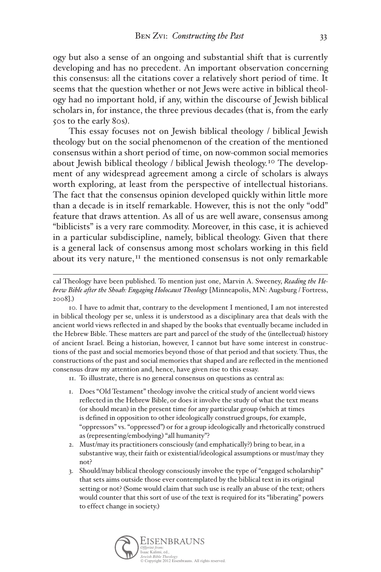ogy but also a sense of an ongoing and substantial shift that is currently developing and has no precedent. An important observation concerning this consensus: all the citations cover a relatively short period of time. It seems that the question whether or not Jews were active in biblical theology had no important hold, if any, within the discourse of Jewish biblical scholars in, for instance, the three previous decades (that is, from the early 50s to the early 80s).

This essay focuses not on Jewish biblical theology / biblical Jewish theology but on the social phenomenon of the creation of the mentioned consensus within a short period of time, on now-common social memories about Jewish biblical theology / biblical Jewish theology.10 The development of any widespread agreement among a circle of scholars is always worth exploring, at least from the perspective of intellectual historians. The fact that the consensus opinion developed quickly within little more than a decade is in itself remarkable. However, this is not the only "odd" feature that draws attention. As all of us are well aware, consensus among "biblicists" is a very rare commodity. Moreover, in this case, it is achieved in a particular subdiscipline, namely, biblical theology. Given that there is a general lack of consensus among most scholars working in this field about its very nature,<sup>11</sup> the mentioned consensus is not only remarkable

10. I have to admit that, contrary to the development I mentioned, I am not interested in biblical theology per se, unless it is understood as a disciplinary area that deals with the ancient world views reflected in and shaped by the books that eventually became included in the Hebrew Bible. These matters are part and parcel of the study of the (intellectual) history of ancient Israel. Being a historian, however, I cannot but have some interest in constructions of the past and social memories beyond those of that period and that society. Thus, the constructions of the past and social memories that shaped and are reflected in the mentioned consensus draw my attention and, hence, have given rise to this essay.

11. To illustrate, there is no general consensus on questions as central as:

- 1. Does "Old Testament" theology involve the critical study of ancient world views reflected in the Hebrew Bible, or does it involve the study of what the text means (or should mean) in the present time for any particular group (which at times is defined in opposition to other ideologically construed groups, for example, "oppressors" vs. "oppressed") or for a group ideologically and rhetorically construed as (representing/embodying) "all humanity"?
- 2. Must/may its practitioners consciously (and emphatically?) bring to bear, in a substantive way, their faith or existential/ideological assumptions or must/may they not?
- 3. Should/may biblical theology consciously involve the type of "engaged scholarship" that sets aims outside those ever contemplated by the biblical text in its original setting or not? (Some would claim that such use is really an abuse of the text; others would counter that this sort of use of the text is required for its "liberating" powers to effect change in society.)



cal Theology have been published. To mention just one, Marvin A. Sweeney, *Reading the Hebrew Bible after the Shoah: Engaging Holocaust Theology* [Minneapolis, MN: Augsburg / Fortress, 2008].)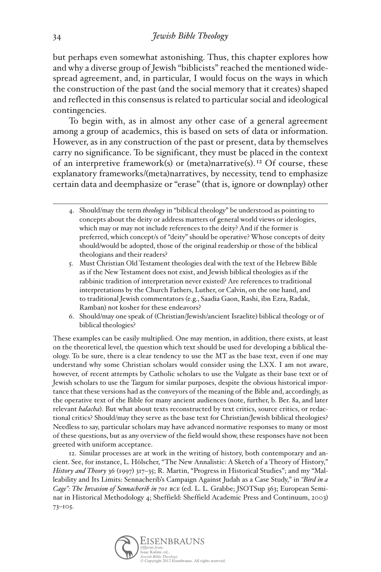but perhaps even somewhat astonishing. Thus, this chapter explores how and why a diverse group of Jewish "biblicists" reached the mentioned widespread agreement, and, in particular, I would focus on the ways in which the construction of the past (and the social memory that it creates) shaped and reflected in this consensus is related to particular social and ideological contingencies.

To begin with, as in almost any other case of a general agreement among a group of academics, this is based on sets of data or information. However, as in any construction of the past or present, data by themselves carry no significance. To be significant, they must be placed in the context of an interpretive framework(s) or (meta)narrative(s).<sup>12</sup> Of course, these explanatory frameworks/(meta)narratives, by necessity, tend to emphasize certain data and deemphasize or "erase" (that is, ignore or downplay) other

- 4. Should/may the term *theology* in "biblical theology" be understood as pointing to concepts about the deity or address matters of general world views or ideologies, which may or may not include references to the deity? And if the former is preferred, which concept/s of "deity" should be operative? Whose concepts of deity should/would be adopted, those of the original readership or those of the biblical theologians and their readers?
- 5. Must Christian Old Testament theologies deal with the text of the Hebrew Bible as if the New Testament does not exist, and Jewish biblical theologies as if the rabbinic tradition of interpretation never existed? Are references to traditional interpretations by the Church Fathers, Luther, or Calvin, on the one hand, and to traditional Jewish commentators (e.g., Saadia Gaon, Rashi, ibn Ezra, Radak, Ramban) not kosher for these endeavors?
- 6. Should/may one speak of (Christian/Jewish/ancient Israelite) biblical theology or of biblical theologies?

These examples can be easily multiplied. One may mention, in addition, there exists, at least on the theoretical level, the question which text should be used for developing a biblical theology. To be sure, there is a clear tendency to use the MT as the base text, even if one may understand why some Christian scholars would consider using the LXX. I am not aware, however, of recent attempts by Catholic scholars to use the Vulgate as their base text or of Jewish scholars to use the Targum for similar purposes, despite the obvious historical importance that these versions had as the conveyors of the meaning of the Bible and, accordingly, as the operative text of the Bible for many ancient audiences (note, further, b. Ber. 8a, and later relevant *halacha*). But what about texts reconstructed by text critics, source critics, or redactional critics? Should/may they serve as the base text for Christian/Jewish biblical theologies? Needless to say, particular scholars may have advanced normative responses to many or most of these questions, but as any overview of the field would show, these responses have not been greeted with uniform acceptance.

12. Similar processes are at work in the writing of history, both contemporary and ancient. See, for instance, L. Hölscher, "The New Annalistic: A Sketch of a Theory of History," *History and Theory* 36 (1997) 317–35; R. Martin, "Progress in Historical Studies"; and my "Malleability and Its Limits: Sennacherib's Campaign Against Judah as a Case Study," in *"Bird in a Cage": The Invasion of Sennacherib in 701 bce* (ed. L. L. Grabbe; JSOTSup 363; European Seminar in Historical Methodology 4; Sheffield: Sheffield Academic Press and Continuum, 2003) 73–105.

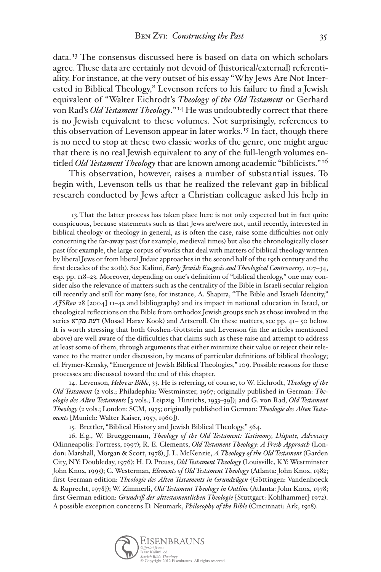data.13 The consensus discussed here is based on data on which scholars agree. These data are certainly not devoid of (historical/external) referentiality. For instance, at the very outset of his essay "Why Jews Are Not Interested in Biblical Theology," Levenson refers to his failure to find a Jewish equivalent of "Walter Eichrodt's *Theology of the Old Testament* or Gerhard von Rad's *Old Testament Theology*."14 He was undoubtedly correct that there is no Jewish equivalent to these volumes. Not surprisingly, references to this observation of Levenson appear in later works.<sup>15</sup> In fact, though there is no need to stop at these two classic works of the genre, one might argue that there is no real Jewish equivalent to any of the full-length volumes entitled *Old Testament Theology* that are known among academic "biblicists."<sup>16</sup>

This observation, however, raises a number of substantial issues. To begin with, Levenson tells us that he realized the relevant gap in biblical research conducted by Jews after a Christian colleague asked his help in

13.That the latter process has taken place here is not only expected but in fact quite conspicuous, because statements such as that Jews are/were not, until recently, interested in biblical theology or theology in general, as is often the case, raise some difficulties not only concerning the far-away past (for example, medieval times) but also the chronologically closer past (for example, the large corpus of works that deal with matters of biblical theology written by liberal Jews or from liberal Judaic approaches in the second half of the 19th century and the first decades of the 20th). See Kalimi, *Early Jewish Exegesis and Theological Controversy*, 107–34, esp. pp. 118–23. Moreover, depending on one's definition of "biblical theology," one may consider also the relevance of matters such as the centrality of the Bible in Israeli secular religion till recently and still for many (see, for instance, A. Shapira, "The Bible and Israeli Identity," *AJSRev* 28 [2004] 11–42 and bibliography) and its impact in national education in Israel, or theological reflections on the Bible from orthodox Jewish groups such as those involved in the series מקרא דעת) Mosad Harav Kook) and Artscroll. On these matters, see pp. 41– 50 below. It is worth stressing that both Goshen-Gottstein and Levenson (in the articles mentioned above) are well aware of the difficulties that claims such as these raise and attempt to address at least some of them, through arguments that either minimize their value or reject their relevance to the matter under discussion, by means of particular definitions of biblical theology; cf. Frymer-Kensky, "Emergence of Jewish Biblical Theologies," 109. Possible reasons for these processes are discussed toward the end of this chapter.

14. Levenson, *Hebrew Bible*, 33. He is referring, of course, to W. Eichrodt, *Theology of the Old Testament* (2 vols.; Philadephia: Westminster, 1967; originally published in German: *Theologie des Alten Testaments* [3 vols.; Leipzig: Hinrichs, 1933–39]); and G. von Rad, *Old Testament Theology* (2 vols.; London: SCM, 1975; originally published in German: *Theologie des Alten Testaments* [Munich: Walter Kaiser, 1957, 1960]).

15. Brettler, "Biblical History and Jewish Biblical Theology," 564.

16. E.g., W. Brueggemann, *Theology of the Old Testament: Testimony, Dispute, Advocacy* (Minneapolis: Fortress, 1997); R. E. Clements, *Old Testament Theology: A Fresh Approach* (London: Marshall, Morgan & Scott, 1978); J. L. McKenzie, *A Theology of the Old Testament* (Garden City, NY: Doubleday, 1976); H. D. Preuss, *Old Testament Theology* (Louisville, KY: Westminster John Knox, 1995); C. Westerman, *Elements of Old Testament Theology* (Atlanta: John Knox, 1982; first German edition: *Theologie des Alten Testaments in Grundzügen* [Göttingen: Vandenhoeck & Ruprecht, 1978]); W. Zimmerli, *Old Testament Theology in Outline* (Atlanta: John Knox, 1978; first German edition: *Grundriß der alttestamentlichen Theologie* [Stuttgart: Kohlhammer] 1972). A possible exception concerns D. Neumark, *Philosophy of the Bible* (Cincinnati: Ark, 1918).

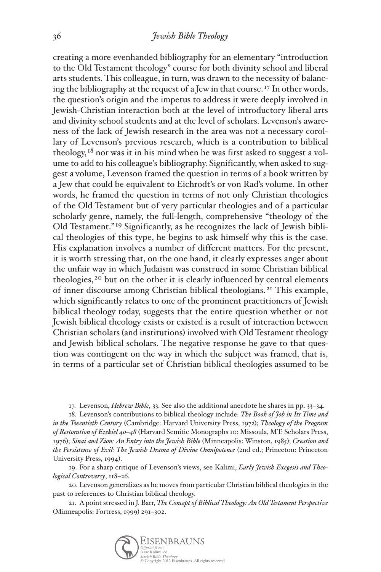creating a more evenhanded bibliography for an elementary "introduction to the Old Testament theology" course for both divinity school and liberal arts students. This colleague, in turn, was drawn to the necessity of balancing the bibliography at the request of a Jew in that course.<sup>17</sup> In other words, the question's origin and the impetus to address it were deeply involved in Jewish-Christian interaction both at the level of introductory liberal arts and divinity school students and at the level of scholars. Levenson's awareness of the lack of Jewish research in the area was not a necessary corollary of Levenson's previous research, which is a contribution to biblical theology,  $18$  nor was it in his mind when he was first asked to suggest a volume to add to his colleague's bibliography. Significantly, when asked to suggest a volume, Levenson framed the question in terms of a book written by a Jew that could be equivalent to Eichrodt's or von Rad's volume. In other words, he framed the question in terms of not only Christian theologies of the Old Testament but of very particular theologies and of a particular scholarly genre, namely, the full-length, comprehensive "theology of the Old Testament."19 Significantly, as he recognizes the lack of Jewish biblical theologies of this type, he begins to ask himself why this is the case. His explanation involves a number of different matters. For the present, it is worth stressing that, on the one hand, it clearly expresses anger about the unfair way in which Judaism was construed in some Christian biblical theologies, 20 but on the other it is clearly influenced by central elements of inner discourse among Christian biblical theologians. 21 This example, which significantly relates to one of the prominent practitioners of Jewish biblical theology today, suggests that the entire question whether or not Jewish biblical theology exists or existed is a result of interaction between Christian scholars (and institutions) involved with Old Testament theology and Jewish biblical scholars. The negative response he gave to that question was contingent on the way in which the subject was framed, that is, in terms of a particular set of Christian biblical theologies assumed to be

17. Levenson, *Hebrew Bible*, 33. See also the additional anecdote he shares in pp. 33–34.

18. Levenson's contributions to biblical theology include: *The Book of Job in Its Time and in the Twentieth Century* (Cambridge: Harvard University Press, 1972); *Theology of the Program of Restoration of Ezekiel 40–48* (Harvard Semitic Monographs 10; Missoula, MT: Scholars Press, 1976); *Sinai and Zion: An Entry into the Jewish Bible* (Minneapolis: Winston, 1985); *Creation and the Persistence of Evil: The Jewish Drama of Divine Omnipotence* (2nd ed.; Princeton: Princeton University Press, 1994).

19. For a sharp critique of Levenson's views, see Kalimi, *Early Jewish Exegesis and Theological Controversy*, 118–26.

20. Levenson generalizes as he moves from particular Christian biblical theologies in the past to references to Christian biblical theology.

21. A point stressed in J. Barr, *The Concept of Biblical Theology: An Old Testament Perspective* (Minneapolis: Fortress, 1999) 291–302.

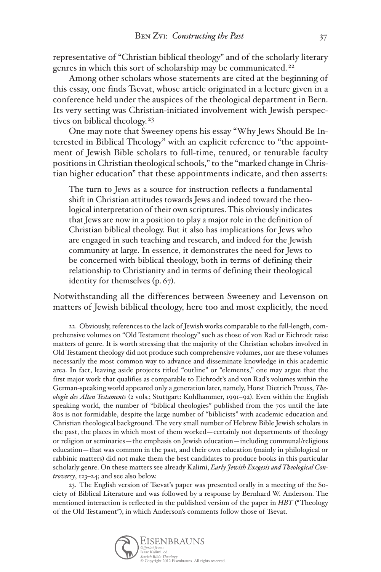representative of "Christian biblical theology" and of the scholarly literary genres in which this sort of scholarship may be communicated. <sup>22</sup>

Among other scholars whose statements are cited at the beginning of this essay, one finds Tsevat, whose article originated in a lecture given in a conference held under the auspices of the theological department in Bern. Its very setting was Christian-initiated involvement with Jewish perspectives on biblical theology. <sup>23</sup>

One may note that Sweeney opens his essay "Why Jews Should Be Interested in Biblical Theology" with an explicit reference to "the appointment of Jewish Bible scholars to full-time, tenured, or tenurable faculty positions in Christian theological schools," to the "marked change in Christian higher education" that these appointments indicate, and then asserts:

The turn to Jews as a source for instruction reflects a fundamental shift in Christian attitudes towards Jews and indeed toward the theological interpretation of their own scriptures. This obviously indicates that Jews are now in a position to play a major role in the definition of Christian biblical theology. But it also has implications for Jews who are engaged in such teaching and research, and indeed for the Jewish community at large. In essence, it demonstrates the need for Jews to be concerned with biblical theology, both in terms of defining their relationship to Christianity and in terms of defining their theological identity for themselves (p. 67).

Notwithstanding all the differences between Sweeney and Levenson on matters of Jewish biblical theology, here too and most explicitly, the need

22. Obviously, references to the lack of Jewish works comparable to the full-length, comprehensive volumes on "Old Testament theology" such as those of von Rad or Eichrodt raise matters of genre. It is worth stressing that the majority of the Christian scholars involved in Old Testament theology did not produce such comprehensive volumes, nor are these volumes necessarily the most common way to advance and disseminate knowledge in this academic area. In fact, leaving aside projects titled "outline" or "elements," one may argue that the first major work that qualifies as comparable to Eichrodt's and von Rad's volumes within the German-speaking world appeared only a generation later, namely, Horst Dietrich Preuss, *Theologie des Alten Testaments* (2 vols.; Stuttgart: Kohlhammer, 1991–92). Even within the English speaking world, the number of "biblical theologies" published from the 70s until the late 80s is not formidable, despite the large number of "biblicists" with academic education and Christian theological background. The very small number of Hebrew Bible Jewish scholars in the past, the places in which most of them worked—certainly not departments of theology or religion or seminaries—the emphasis on Jewish education—including communal/religious education—that was common in the past, and their own education (mainly in philological or rabbinic matters) did not make them the best candidates to produce books in this particular scholarly genre. On these matters see already Kalimi, *Early Jewish Exegesis and Theological Controversy*, 123–24; and see also below.

23. The English version of Tsevat's paper was presented orally in a meeting of the Society of Biblical Literature and was followed by a response by Bernhard W. Anderson. The mentioned interaction is reflected in the published version of the paper in *HBT* ("Theology of the Old Testament"), in which Anderson's comments follow those of Tsevat.

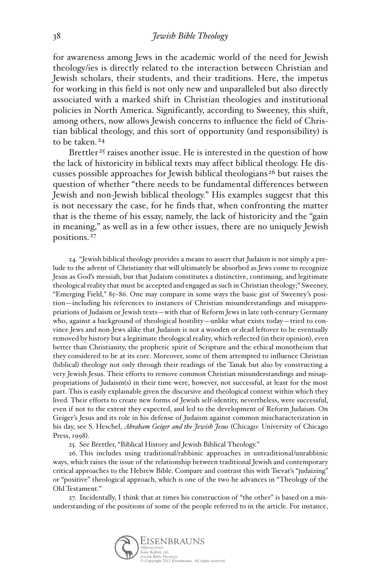for awareness among Jews in the academic world of the need for Jewish theology/ies is directly related to the interaction between Christian and Jewish scholars, their students, and their traditions. Here, the impetus for working in this field is not only new and unparalleled but also directly associated with a marked shift in Christian theologies and institutional policies in North America. Significantly, according to Sweeney, this shift, among others, now allows Jewish concerns to influence the field of Christian biblical theology, and this sort of opportunity (and responsibility) is to be taken.<sup>24</sup>

Brettler<sup>25</sup> raises another issue. He is interested in the question of how the lack of historicity in biblical texts may affect biblical theology. He discusses possible approaches for Jewish biblical theologians 26 but raises the question of whether "there needs to be fundamental differences between Jewish and non-Jewish biblical theology." His examples suggest that this is not necessary the case, for he finds that, when confronting the matter that is the theme of his essay, namely, the lack of historicity and the "gain in meaning," as well as in a few other issues, there are no uniquely Jewish positions. <sup>27</sup>

24. "Jewish biblical theology provides a means to assert that Judaism is not simply a prelude to the advent of Christianity that will ultimately be absorbed as Jews come to recognize Jesus as God's messiah, but that Judaism constitutes a distinctive, continuing, and legitimate theological reality that must be accepted and engaged as such in Christian theology;" Sweeney, "Emerging Field," 85–86. One may compare in some ways the basic gist of Sweeney's position—including his references to instances of Christian misunderstandings and misappropriations of Judaism or Jewish texts—with that of Reform Jews in late 19th-century Germany who, against a background of theological hostility—unlike what exists today—tried to convince Jews and non-Jews alike that Judaism is not a wooden or dead leftover to be eventually removed by history but a legitimate theological reality, which reflected (in their opinion), even better than Christianity, the prophetic spirit of Scripture and the ethical monotheism that they considered to be at its core. Moreover, some of them attempted to influence Christian (biblical) theology not only through their readings of the Tanak but also by constructing a very Jewish Jesus. Their efforts to remove common Christian misunderstandings and misappropriations of Judaism(s) in their time were, however, not successful, at least for the most part. This is easily explainable given the discursive and theological context within which they lived. Their efforts to create new forms of Jewish self-identity, nevertheless, were successful, even if not to the extent they expected, and led to the development of Reform Judaism. On Geiger's Jesus and its role in his defense of Judaism against common mischaracterization in his day, see S. Heschel, *Abraham Geiger and the Jewish Jesus* (Chicago: University of Chicago Press, 1998).

25. See Brettler, "Biblical History and Jewish Biblical Theology."

26. This includes using traditional/rabbinic approaches in untraditional/unrabbinic ways, which raises the issue of the relationship between traditional Jewish and contemporary critical approaches to the Hebrew Bible. Compare and contrast this with Tsevat's "judaizing" or "positive" theological approach, which is one of the two he advances in "Theology of the Old Testament."

27. Incidentally, I think that at times his construction of "the other" is based on a misunderstanding of the positions of some of the people referred to in the article. For instance,

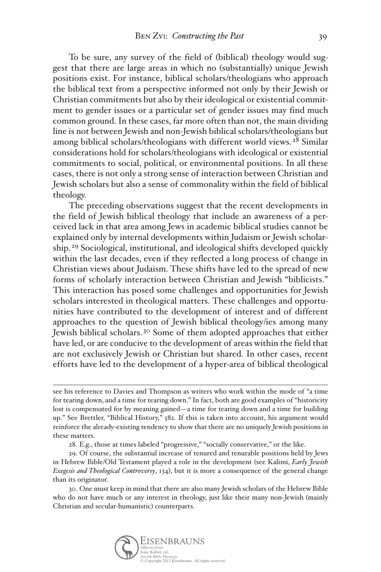To be sure, any survey of the field of (biblical) theology would suggest that there are large areas in which no (substantially) unique Jewish positions exist. For instance, biblical scholars/theologians who approach the biblical text from a perspective informed not only by their Jewish or Christian commitments but also by their ideological or existential commitment to gender issues or a particular set of gender issues may find much common ground. In these cases, far more often than not, the main dividing line is not between Jewish and non-Jewish biblical scholars/theologians but among biblical scholars/theologians with different world views.<sup>28</sup> Similar considerations hold for scholars/theologians with ideological or existential commitments to social, political, or environmental positions. In all these cases, there is not only a strong sense of interaction between Christian and Jewish scholars but also a sense of commonality within the field of biblical theology.

The preceding observations suggest that the recent developments in the field of Jewish biblical theology that include an awareness of a perceived lack in that area among Jews in academic biblical studies cannot be explained only by internal developments within Judaism or Jewish scholarship. 29 Sociological, institutional, and ideological shifts developed quickly within the last decades, even if they reflected a long process of change in Christian views about Judaism. These shifts have led to the spread of new forms of scholarly interaction between Christian and Jewish "biblicists." This interaction has posed some challenges and opportunities for Jewish scholars interested in theological matters. These challenges and opportunities have contributed to the development of interest and of different approaches to the question of Jewish biblical theology/ies among many Jewish biblical scholars. 30 Some of them adopted approaches that either have led, or are conducive to the development of areas within the field that are not exclusively Jewish or Christian but shared. In other cases, recent efforts have led to the development of a hyper-area of biblical theological

28. E.g., those at times labeled "progressive," "socially conservative," or the like.

<sup>30.</sup> One must keep in mind that there are also many Jewish scholars of the Hebrew Bible who do not have much or any interest in theology, just like their many non-Jewish (mainly Christian and secular-humanistic) counterparts.



see his reference to Davies and Thompson as writers who work within the mode of "a time for tearing down, and a time for tearing down." In fact, both are good examples of "historicity lost is compensated for by meaning gained—a time for tearing down and a time for building up." See Brettler, "Biblical History," 582. If this is taken into account, his argument would reinforce the already-existing tendency to show that there are no uniquely Jewish positions in these matters.

<sup>29.</sup> Of course, the substantial increase of tenured and tenurable positions held by Jews in Hebrew Bible/Old Testament played a role in the development (see Kalimi, *Early Jewish Exegesis and Theological Controversy*, 134), but it is more a consequence of the general change than its originator.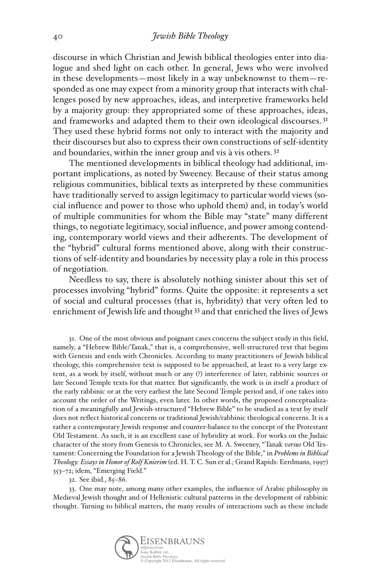discourse in which Christian and Jewish biblical theologies enter into dialogue and shed light on each other. In general, Jews who were involved in these developments—most likely in a way unbeknownst to them—responded as one may expect from a minority group that interacts with challenges posed by new approaches, ideas, and interpretive frameworks held by a majority group: they appropriated some of these approaches, ideas, and frameworks and adapted them to their own ideological discourses. <sup>31</sup> They used these hybrid forms not only to interact with the majority and their discourses but also to express their own constructions of self-identity and boundaries, within the inner group and vis à vis others. <sup>32</sup>

The mentioned developments in biblical theology had additional, important implications, as noted by Sweeney. Because of their status among religious communities, biblical texts as interpreted by these communities have traditionally served to assign legitimacy to particular world views (social influence and power to those who uphold them) and, in today's world of multiple communities for whom the Bible may "state" many different things, to negotiate legitimacy, social influence, and power among contending, contemporary world views and their adherents. The development of the "hybrid" cultural forms mentioned above, along with their constructions of self-identity and boundaries by necessity play a role in this process of negotiation.

Needless to say, there is absolutely nothing sinister about this set of processes involving "hybrid" forms. Quite the opposite: it represents a set of social and cultural processes (that is, hybridity) that very often led to enrichment of Jewish life and thought 33 and that enriched the lives of Jews

31. One of the most obvious and poignant cases concerns the subject study in this field, namely, a "Hebrew Bible/Tanak," that is, a comprehensive, well-structured text that begins with Genesis and ends with Chronicles. According to many practitioners of Jewish biblical theology, this comprehensive text is supposed to be approached, at least to a very large extent, as a work by itself, without much or any (?) interference of later, rabbinic sources or late Second Temple texts for that matter. But significantly, the work is in itself a product of the early rabbinic or at the very earliest the late Second Temple period and, if one takes into account the order of the Writings, even later. In other words, the proposed conceptualization of a meaningfully and Jewish-structured "Hebrew Bible" to be studied as a text by itself does not reflect historical concerns or traditional Jewish/rabbinic theological concerns. It is a rather a contemporary Jewish response and counter-balance to the concept of the Protestant Old Testament. As such, it is an excellent case of hybridity at work. For works on the Judaic character of the story from Genesis to Chronicles, see M. A. Sweeney, "Tanak *versus* Old Testament: Concerning the Foundation for a Jewish Theology of the Bible," in *Problems in Biblical Theology: Essays in Honor of Rolf Knierim* (ed. H. T. C. Sun et al.; Grand Rapids: Eerdmans, 1997) 353–72; idem, "Emerging Field."

32. See ibid., 85–86.

33. One may note, among many other examples, the influence of Arabic philosophy in Medieval Jewish thought and of Hellenistic cultural patterns in the development of rabbinic thought. Turning to biblical matters, the many results of interactions such as these include

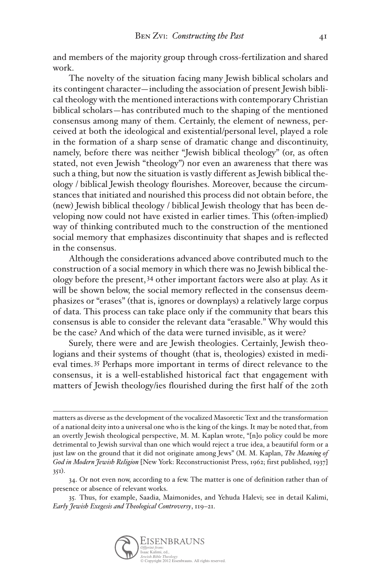and members of the majority group through cross-fertilization and shared work.

The novelty of the situation facing many Jewish biblical scholars and its contingent character—including the association of present Jewish biblical theology with the mentioned interactions with contemporary Christian biblical scholars—has contributed much to the shaping of the mentioned consensus among many of them. Certainly, the element of newness, perceived at both the ideological and existential/personal level, played a role in the formation of a sharp sense of dramatic change and discontinuity, namely, before there was neither "Jewish biblical theology" (or, as often stated, not even Jewish "theology") nor even an awareness that there was such a thing, but now the situation is vastly different as Jewish biblical theology / biblical Jewish theology flourishes. Moreover, because the circumstances that initiated and nourished this process did not obtain before, the (new) Jewish biblical theology / biblical Jewish theology that has been developing now could not have existed in earlier times. This (often-implied) way of thinking contributed much to the construction of the mentioned social memory that emphasizes discontinuity that shapes and is reflected in the consensus.

Although the considerations advanced above contributed much to the construction of a social memory in which there was no Jewish biblical theology before the present, 34 other important factors were also at play. As it will be shown below, the social memory reflected in the consensus deemphasizes or "erases" (that is, ignores or downplays) a relatively large corpus of data. This process can take place only if the community that bears this consensus is able to consider the relevant data "erasable." Why would this be the case? And which of the data were turned invisible, as it were?

Surely, there were and are Jewish theologies. Certainly, Jewish theologians and their systems of thought (that is, theologies) existed in medieval times. 35 Perhaps more important in terms of direct relevance to the consensus, it is a well-established historical fact that engagement with matters of Jewish theology/ies flourished during the first half of the 20th

<sup>35.</sup> Thus, for example, Saadia, Maimonides, and Yehuda Halevi; see in detail Kalimi, *Early Jewish Exegesis and Theological Controversy*, 119–21.



matters as diverse as the development of the vocalized Masoretic Text and the transformation of a national deity into a universal one who is the king of the kings. It may be noted that, from an overtly Jewish theological perspective, M. M. Kaplan wrote, "[n]o policy could be more detrimental to Jewish survival than one which would reject a true idea, a beautiful form or a just law on the ground that it did not originate among Jews" (M. M. Kaplan, *The Meaning of God in Modern Jewish Religion* [New York: Reconstructionist Press, 1962; first published, 1937] 351).

<sup>34.</sup> Or not even now, according to a few. The matter is one of definition rather than of presence or absence of relevant works.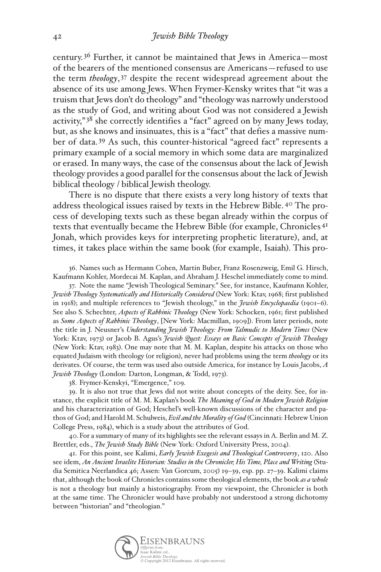century. 36 Further, it cannot be maintained that Jews in America—most of the bearers of the mentioned consensus are Americans—refused to use the term *theology*, 37 despite the recent widespread agreement about the absence of its use among Jews. When Frymer-Kensky writes that "it was a truism that Jews don't do theology" and "theology was narrowly understood as the study of God, and writing about God was not considered a Jewish activity," 38 she correctly identifies a "fact" agreed on by many Jews today, but, as she knows and insinuates, this is a "fact" that defies a massive number of data. 39 As such, this counter-historical "agreed fact" represents a primary example of a social memory in which some data are marginalized or erased. In many ways, the case of the consensus about the lack of Jewish theology provides a good parallel for the consensus about the lack of Jewish biblical theology / biblical Jewish theology.

There is no dispute that there exists a very long history of texts that address theological issues raised by texts in the Hebrew Bible. 40 The process of developing texts such as these began already within the corpus of texts that eventually became the Hebrew Bible (for example, Chronicles<sup>41</sup> Jonah, which provides keys for interpreting prophetic literature), and, at times, it takes place within the same book (for example, Isaiah). This pro-

36. Names such as Hermann Cohen, Martin Buber, Franz Rosenzweig, Emil G. Hirsch, Kaufmann Kohler, Mordecai M. Kaplan, and Abraham J. Heschel immediately come to mind.

37. Note the name "Jewish Theological Seminary." See, for instance, Kaufmann Kohler, *Jewish Theology Systematically and Historically Considered* (New York: Ktav, 1968; first published in 1918); and multiple references to "Jewish theology," in the *Jewish Encyclopaedia* (1901–6). See also S. Schechter, *Aspects of Rabbinic Theology* (New York: Schocken, 1961; first published as *Some Aspects of Rabbinic Theology*, [New York: Macmillan, 1909]). From later periods, note the title in J. Neusner's *Understanding Jewish Theology: From Talmudic to Modern Times* (New York: Ktav, 1973) or Jacob B. Agus's *Jewish Quest: Essays on Basic Concepts of Jewish Theology* (New York: Ktav, 1983). One may note that M. M. Kaplan, despite his attacks on those who equated Judaism with theology (or religion), never had problems using the term *theology* or its derivates. Of course, the term was used also outside America, for instance by Louis Jacobs, *A Jewish Theology* (London: Darton, Longman, & Todd, 1973).

38. Frymer-Kenskyi, "Emergence," 109.

39. It is also not true that Jews did not write about concepts of the deity. See, for instance, the explicit title of M. M. Kaplan's book *The Meaning of God in Modern Jewish Religion* and his characterization of God; Heschel's well-known discussions of the character and pathos of God; and Harold M. Schulweis, *Evil and the Morality of God* (Cincinnati: Hebrew Union College Press, 1984), which is a study about the attributes of God.

40.For a summary of many of its highlights see the relevant essays in A. Berlin and M. Z. Brettler, eds., *The Jewish Study Bible* (New York: Oxford University Press, 2004).

41. For this point, see Kalimi, *Early Jewish Exegesis and Theological Controversy*, 120. Also see idem, *An Ancient Israelite Historian: Studies in the Chronicler, His Time, Place and Writing* (Studia Semitica Neerlandica 46; Assen: Van Gorcum, 2005) 19–39, esp. pp. 27–39. Kalimi claims that, although the book of Chronicles contains some theological elements, the book *as a whole* is not a theology but mainly a historiography. From my viewpoint, the Chronicler is both at the same time. The Chronicler would have probably not understood a strong dichotomy between "historian" and "theologian."

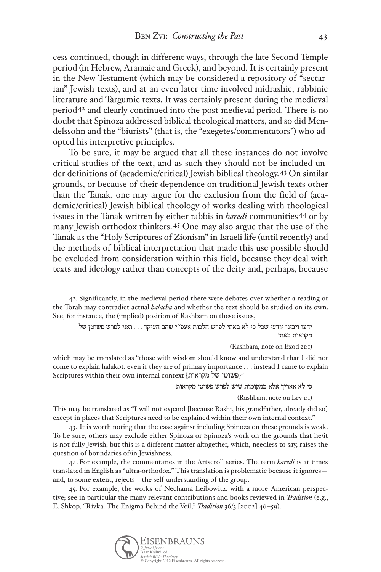cess continued, though in different ways, through the late Second Temple period (in Hebrew, Aramaic and Greek), and beyond. It is certainly present in the New Testament (which may be considered a repository of "sectarian" Jewish texts), and at an even later time involved midrashic, rabbinic literature and Targumic texts. It was certainly present during the medieval period42 and clearly continued into the post-medieval period. There is no doubt that Spinoza addressed biblical theological matters, and so did Mendelssohn and the "biurists" (that is, the "exegetes/commentators") who adopted his interpretive principles.

To be sure, it may be argued that all these instances do not involve critical studies of the text, and as such they should not be included under definitions of (academic/critical) Jewish biblical theology.43 On similar grounds, or because of their dependence on traditional Jewish texts other than the Tanak, one may argue for the exclusion from the field of (academic/critical) Jewish biblical theology of works dealing with theological issues in the Tanak written by either rabbis in *haredi* communities 44 or by many Jewish orthodox thinkers. 45 One may also argue that the use of the Tanak as the "Holy Scriptures of Zionism" in Israeli life (until recently) and the methods of biblical interpretation that made this use possible should be excluded from consideration within this field, because they deal with texts and ideology rather than concepts of the deity and, perhaps, because

42. Significantly, in the medieval period there were debates over whether a reading of the Torah may contradict actual *halacha* and whether the text should be studied on its own. See, for instance, the (implied) position of Rashbam on these issues,

ידעו ויבינו יודעי שכל כי לא באתי לפרש הלכות אעפ′′י שהם העיקר . . . ואני לפרש פשוטן של מקראות באתי

(Rashbam, note on Exod 21:1)

which may be translated as "those with wisdom should know and understand that I did not come to explain halakot, even if they are of primary importance . . . instead I came to explain Scriptures within their own internal context [משוטן של מקראות]"

כי לא אאריך אלא במקומות שיש לפרש פשוטי מקראות

(Rashbam, note on Lev 1:1)

This may be translated as "I will not expand [because Rashi, his grandfather, already did so] except in places that Scriptures need to be explained within their own internal context."

43. It is worth noting that the case against including Spinoza on these grounds is weak. To be sure, others may exclude either Spinoza or Spinoza's work on the grounds that he/it is not fully Jewish, but this is a different matter altogether, which, needless to say, raises the question of boundaries of/in Jewishness.

44. For example, the commentaries in the Artscroll series. The term *haredi* is at times translated in English as "ultra-orthodox." This translation is problematic because it ignores and, to some extent, rejects—the self-understanding of the group.

45. For example, the works of Nechama Leibowitz, with a more American perspective; see in particular the many relevant contributions and books reviewed in *Tradition* (e.g., E. Shkop, "Rivka: The Enigma Behind the Veil," *Tradition* 36/3 [2002] 46–59).

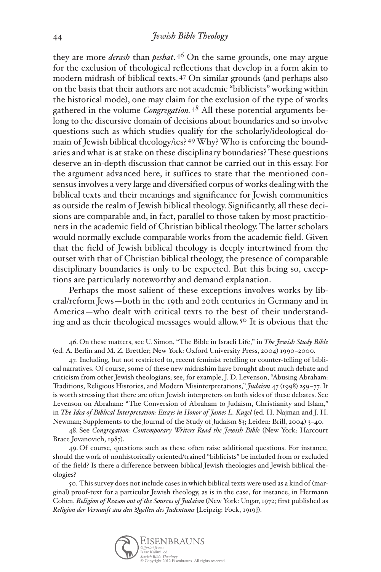they are more *derash* than *peshat*.46 On the same grounds, one may argue for the exclusion of theological reflections that develop in a form akin to modern midrash of biblical texts. 47 On similar grounds (and perhaps also on the basis that their authors are not academic "biblicists" working within the historical mode), one may claim for the exclusion of the type of works gathered in the volume *Congregation.* 48 All these potential arguments belong to the discursive domain of decisions about boundaries and so involve questions such as which studies qualify for the scholarly/ideological domain of Jewish biblical theology/ies?49 Why? Who is enforcing the boundaries and what is at stake on these disciplinary boundaries? These questions deserve an in-depth discussion that cannot be carried out in this essay. For the argument advanced here, it suffices to state that the mentioned consensus involves a very large and diversified corpus of works dealing with the biblical texts and their meanings and significance for Jewish communities as outside the realm of Jewish biblical theology. Significantly, all these decisions are comparable and, in fact, parallel to those taken by most practitioners in the academic field of Christian biblical theology. The latter scholars would normally exclude comparable works from the academic field. Given that the field of Jewish biblical theology is deeply intertwined from the outset with that of Christian biblical theology, the presence of comparable disciplinary boundaries is only to be expected. But this being so, exceptions are particularly noteworthy and demand explanation.

Perhaps the most salient of these exceptions involves works by liberal/reform Jews—both in the 19th and 20th centuries in Germany and in America—who dealt with critical texts to the best of their understanding and as their theological messages would allow. 50 It is obvious that the

46. On these matters, see U. Simon, "The Bible in Israeli Life," in *The Jewish Study Bible* (ed. A. Berlin and M. Z. Brettler; New York: Oxford University Press, 2004) 1990–2000.

47. Including, but not restricted to, recent feminist retelling or counter-telling of biblical narratives. Of course, some of these new midrashim have brought about much debate and criticism from other Jewish theologians; see, for example, J. D. Levenson, "Abusing Abraham: Traditions, Religious Histories, and Modern Misinterpretations," *Judaism* 47 (1998) 259–77. It is worth stressing that there are often Jewish interpreters on both sides of these debates. See Levenson on Abraham: "The Conversion of Abraham to Judaism, Christianity and Islam," in *The Idea of Biblical Interpretation: Essays in Honor of James L. Kugel* (ed. H. Najman and J. H. Newman; Supplements to the Journal of the Study of Judaism 83; Leiden: Brill, 2004) 3–40.

48. See *Congregation: Contemporary Writers Read the Jewish Bible* (New York: Harcourt Brace Jovanovich, 1987).

49. Of course, questions such as these often raise additional questions. For instance, should the work of nonhistorically oriented/trained "biblicists" be included from or excluded of the field? Is there a difference between biblical Jewish theologies and Jewish biblical theologies?

50. This survey does not include cases in which biblical texts were used as a kind of (marginal) proof-text for a particular Jewish theology, as is in the case, for instance, in Hermann Cohen, *Religion of Reason out of the Sources of Judaism* (New York: Ungar, 1972; first published as *Religion der Vernunft aus den Quellen des Judentums* [Leipzig: Fock, 1919]).

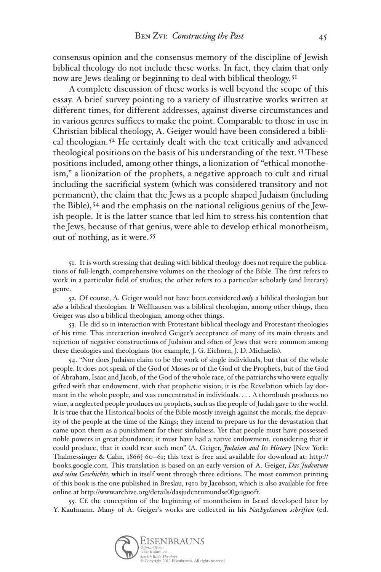consensus opinion and the consensus memory of the discipline of Jewish biblical theology do not include these works. In fact, they claim that only now are Jews dealing or beginning to deal with biblical theology. <sup>51</sup>

A complete discussion of these works is well beyond the scope of this essay. A brief survey pointing to a variety of illustrative works written at different times, for different addresses, against diverse circumstances and in various genres suffices to make the point. Comparable to those in use in Christian biblical theology, A. Geiger would have been considered a biblical theologian. 52 He certainly dealt with the text critically and advanced theological positions on the basis of his understanding of the text. 53 These positions included, among other things, a lionization of "ethical monotheism," a lionization of the prophets, a negative approach to cult and ritual including the sacrificial system (which was considered transitory and not permanent), the claim that the Jews as a people shaped Judaism (including the Bible), 54 and the emphasis on the national religious genius of the Jewish people. It is the latter stance that led him to stress his contention that the Jews, because of that genius, were able to develop ethical monotheism, out of nothing, as it were. <sup>55</sup>

51. It is worth stressing that dealing with biblical theology does not require the publications of full-length, comprehensive volumes on the theology of the Bible. The first refers to work in a particular field of studies; the other refers to a particular scholarly (and literary) genre.

52. Of course, A. Geiger would not have been considered *only* a biblical theologian but *also* a biblical theologian. If Wellhausen was a biblical theologian, among other things, then Geiger was also a biblical theologian, among other things.

53. He did so in interaction with Protestant biblical theology and Protestant theologies of his time. This interaction involved Geiger's acceptance of many of its main thrusts and rejection of negative constructions of Judaism and often of Jews that were common among these theologies and theologians (for example, J. G. Eichorn, J. D. Michaelis).

54. "Nor does Judaism claim to be the work of single individuals, but that of the whole people. It does not speak of the God of Moses or of the God of the Prophets, but of the God of Abraham, Isaac and Jacob, of the God of the whole race, of the patriarchs who were equally gifted with that endowment, with that prophetic vision; it is the Revelation which lay dormant in the whole people, and was concentrated in individuals. . . . A thornbush produces no wine, a neglected people produces no prophets, such as the people of Judah gave to the world. It is true that the Historical books of the Bible mostly inveigh against the morals, the depravity of the people at the time of the Kings; they intend to prepare us for the devastation that came upon them as a punishment for their sinfulness. Yet that people must have possessed noble powers in great abundance; it must have had a native endowment, considering that it could produce, that it could rear such men" (A. Geiger, *Judaism and Its History* [New York: Thalmessinger & Cahn, 1866] 60–61; this text is free and available for download at: http:// books.google.com. This translation is based on an early version of A. Geiger, *Das Judentum und seine Geschichte*, which in itself went through three editions. The most common printing of this book is the one published in Breslau, 1910 by Jacobson, which is also available for free online at http://www.archive.org/details/dasjudentumundse00geiguoft.

55. Cf. the conception of the beginning of monotheism in Israel developed later by Y. Kaufmann. Many of A. Geiger's works are collected in his *Nachgelassene schriften* (ed.

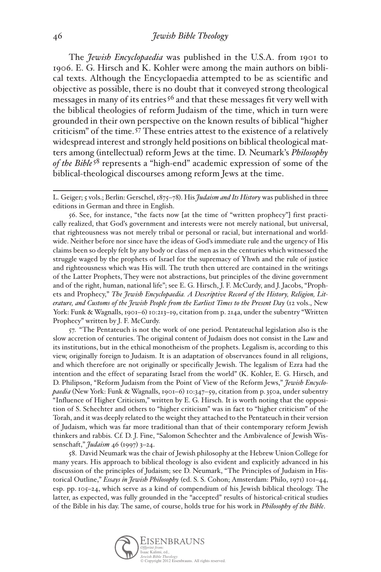The *Jewish Encyclopaedia* was published in the U.S.A. from 1901 to 1906. E. G. Hirsch and K. Kohler were among the main authors on biblical texts. Although the Encyclopaedia attempted to be as scientific and objective as possible, there is no doubt that it conveyed strong theological messages in many of its entries<sup>56</sup> and that these messages fit very well with the biblical theologies of reform Judaism of the time, which in turn were grounded in their own perspective on the known results of biblical "higher criticism" of the time. 57 These entries attest to the existence of a relatively widespread interest and strongly held positions on biblical theological matters among (intellectual) reform Jews at the time. D. Neumark's *Philosophy of the Bible* <sup>58</sup> represents a "high-end" academic expression of some of the biblical-theological discourses among reform Jews at the time.

56. See, for instance, "the facts now [at the time of "written prophecy"] first practically realized, that God's government and interests were not merely national, but universal, that righteousness was not merely tribal or personal or racial, but international and worldwide. Neither before nor since have the ideas of God's immediate rule and the urgency of His claims been so deeply felt by any body or class of men as in the centuries which witnessed the struggle waged by the prophets of Israel for the supremacy of Yhwh and the rule of justice and righteousness which was His will. The truth then uttered are contained in the writings of the Latter Prophets, They were not abstractions, but principles of the divine government and of the right, human, national life"; see E. G. Hirsch, J. F. McCurdy, and J. Jacobs, "Prophets and Prophecy," *The Jewish Encyclopaedia. A Descriptive Record of the History, Religion, Literature, and Customs of the Jewish People from the Earliest Times to the Present Day* (12 vols., New York: Funk & Wagnalls, 1901–6) 10:213–19, citation from p. 214a, under the subentry "Written Prophecy" written by J. F. McCurdy.

57. "The Pentateuch is not the work of one period. Pentateuchal legislation also is the slow accretion of centuries. The original content of Judaism does not consist in the Law and its institutions, but in the ethical monotheism of the prophets. Legalism is, according to this view, originally foreign to Judaism. It is an adaptation of observances found in all religions, and which therefore are not originally or specifically Jewish. The legalism of Ezra had the intention and the effect of separating Israel from the world" (K. Kohler, E. G. Hirsch, and D. Philipson, "Reform Judaism from the Point of View of the Reform Jews," *Jewish Encyclopaedia* (New York: Funk & Wagnalls, 1901–6) 10:347–59, citation from p. 350a, under subentry "Influence of Higher Criticism," written by E. G. Hirsch. It is worth noting that the opposition of S. Schechter and others to "higher criticism" was in fact to "higher criticism" of the Torah, and it was deeply related to the weight they attached to the Pentateuch in their version of Judaism, which was far more traditional than that of their contemporary reform Jewish thinkers and rabbis. Cf. D. J. Fine, "Salomon Schechter and the Ambivalence of Jewish Wissenschaft," *Judaism* 46 (1997) 3–24.

58. David Neumark was the chair of Jewish philosophy at the Hebrew Union College for many years. His approach to biblical theology is also evident and explicitly advanced in his discussion of the principles of Judaism; see D. Neumark, "The Principles of Judaism in Historical Outline," *Essays in Jewish Philosophy* (ed. S. S. Cohon; Amsterdam: Philo, 1971) 101–44, esp. pp.  $105-24$ , which serve as a kind of compendium of his Jewish biblical theology. The latter, as expected, was fully grounded in the "accepted" results of historical-critical studies of the Bible in his day. The same, of course, holds true for his work in *Philosophy of the Bible*.



L. Geiger; 5 vols.; Berlin: Gerschel, 1875–78). His *Judaism and Its History* was published in three editions in German and three in English.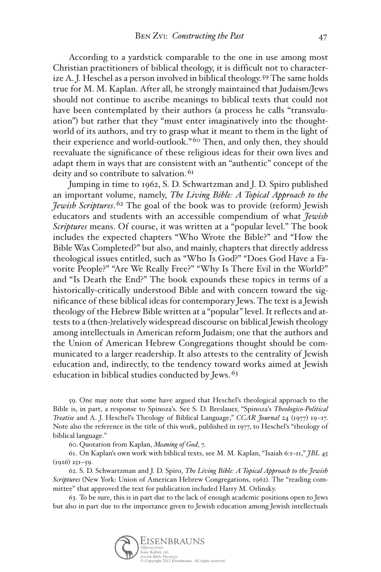According to a yardstick comparable to the one in use among most Christian practitioners of biblical theology, it is difficult not to characterize A. J. Heschel as a person involved in biblical theology. 59 The same holds true for M. M. Kaplan. After all, he strongly maintained that Judaism/Jews should not continue to ascribe meanings to biblical texts that could not have been contemplated by their authors (a process he calls "transvaluation") but rather that they "must enter imaginatively into the thoughtworld of its authors, and try to grasp what it meant to them in the light of their experience and world-outlook."60 Then, and only then, they should reevaluate the significance of these religious ideas for their own lives and adapt them in ways that are consistent with an "authentic" concept of the deity and so contribute to salvation.<sup>61</sup>

Jumping in time to 1962, S. D. Schwartzman and J. D. Spiro published an important volume, namely, *The Living Bible: A Topical Approach to the Jewish Scriptures*. 62 The goal of the book was to provide (reform) Jewish educators and students with an accessible compendium of what *Jewish Scriptures* means. Of course, it was written at a "popular level." The book includes the expected chapters "Who Wrote the Bible?" and "How the Bible Was Completed?" but also, and mainly, chapters that directly address theological issues entitled, such as "Who Is God?" "Does God Have a Favorite People?" "Are We Really Free?" "Why Is There Evil in the World?" and "Is Death the End?" The book expounds these topics in terms of a historically-critically understood Bible and with concern toward the significance of these biblical ideas for contemporary Jews. The text is a Jewish theology of the Hebrew Bible written at a "popular" level. It reflects and attests to a (then-)relatively widespread discourse on biblical Jewish theology among intellectuals in American reform Judaism; one that the authors and the Union of American Hebrew Congregations thought should be communicated to a larger readership. It also attests to the centrality of Jewish education and, indirectly, to the tendency toward works aimed at Jewish education in biblical studies conducted by Jews. <sup>63</sup>

59. One may note that some have argued that Heschel's theological approach to the Bible is, in part, a response to Spinoza's. See S. D. Breslauer, "Spinoza's *Theologico-Political Treatise* and A. J. Heschel's Theology of Biblical Language," *CCAR Journal* 24 (1977) 19–17. Note also the reference in the title of this work, published in 1977, to Heschel's "theology of biblical language."

60. Quotation from Kaplan, *Meaning of God*, 7.

61. On Kaplan's own work with biblical texts, see M. M. Kaplan, "Isaiah 6:1–11," *JBL* 45 (1926) 251–59.

62. S. D. Schwartzman and J. D. Spiro, *The Living Bible: A Topical Approach to the Jewish Scriptures* (New York: Union of American Hebrew Congregations, 1962). The "reading committee" that approved the text for publication included Harry M. Orlinsky.

63. To be sure, this is in part due to the lack of enough academic positions open to Jews but also in part due to the importance given to Jewish education among Jewish intellectuals

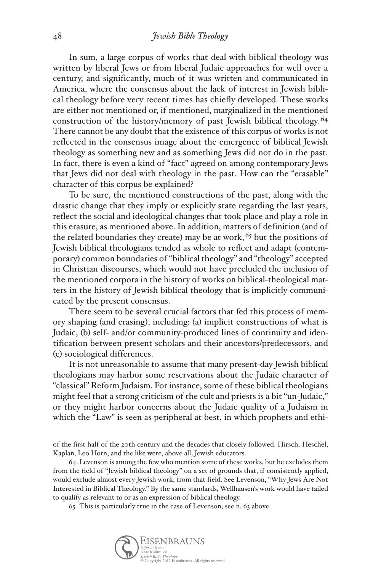In sum, a large corpus of works that deal with biblical theology was written by liberal Jews or from liberal Judaic approaches for well over a century, and significantly, much of it was written and communicated in America, where the consensus about the lack of interest in Jewish biblical theology before very recent times has chiefly developed. These works are either not mentioned or, if mentioned, marginalized in the mentioned construction of the history/memory of past Jewish biblical theology. <sup>64</sup> There cannot be any doubt that the existence of this corpus of works is not reflected in the consensus image about the emergence of biblical Jewish theology as something new and as something Jews did not do in the past. In fact, there is even a kind of "fact" agreed on among contemporary Jews that Jews did not deal with theology in the past. How can the "erasable" character of this corpus be explained?

To be sure, the mentioned constructions of the past, along with the drastic change that they imply or explicitly state regarding the last years, reflect the social and ideological changes that took place and play a role in this erasure, as mentioned above. In addition, matters of definition (and of the related boundaries they create) may be at work, <sup>65</sup> but the positions of Jewish biblical theologians tended as whole to reflect and adapt (contemporary) common boundaries of "biblical theology" and "theology" accepted in Christian discourses, which would not have precluded the inclusion of the mentioned corpora in the history of works on biblical-theological matters in the history of Jewish biblical theology that is implicitly communicated by the present consensus.

There seem to be several crucial factors that fed this process of memory shaping (and erasing), including: (a) implicit constructions of what is Judaic, (b) self- and/or community-produced lines of continuity and identification between present scholars and their ancestors/predecessors, and (c) sociological differences.

It is not unreasonable to assume that many present-day Jewish biblical theologians may harbor some reservations about the Judaic character of "classical" Reform Judaism. For instance, some of these biblical theologians might feel that a strong criticism of the cult and priests is a bit "un-Judaic," or they might harbor concerns about the Judaic quality of a Judaism in which the "Law" is seen as peripheral at best, in which prophets and ethi-

<sup>65.</sup> This is particularly true in the case of Levenson; see n. 63 above.



of the first half of the 20th century and the decades that closely followed. Hirsch, Heschel, Kaplan, Leo Horn, and the like were, above all, Jewish educators.

<sup>64.</sup> Levenson is among the few who mention some of these works, but he excludes them from the field of "Jewish biblical theology" on a set of grounds that, if consistently applied, would exclude almost every Jewish work, from that field. See Levenson, "Why Jews Are Not Interested in Biblical Theology." By the same standards, Wellhausen's work would have failed to qualify as relevant to or as an expression of biblical theology.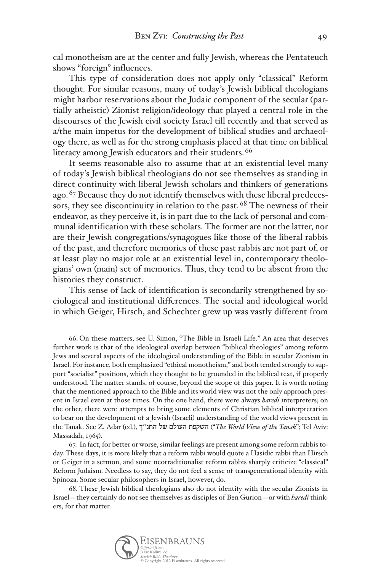cal monotheism are at the center and fully Jewish, whereas the Pentateuch shows "foreign" influences.

This type of consideration does not apply only "classical" Reform thought. For similar reasons, many of today's Jewish biblical theologians might harbor reservations about the Judaic component of the secular (partially atheistic) Zionist religion/ideology that played a central role in the discourses of the Jewish civil society Israel till recently and that served as a/the main impetus for the development of biblical studies and archaeology there, as well as for the strong emphasis placed at that time on biblical literacy among Jewish educators and their students.<sup>66</sup>

It seems reasonable also to assume that at an existential level many of today's Jewish biblical theologians do not see themselves as standing in direct continuity with liberal Jewish scholars and thinkers of generations ago.<sup>67</sup> Because they do not identify themselves with these liberal predecessors, they see discontinuity in relation to the past.<sup>68</sup> The newness of their endeavor, as they perceive it, is in part due to the lack of personal and communal identification with these scholars. The former are not the latter, nor are their Jewish congregations/synagogues like those of the liberal rabbis of the past, and therefore memories of these past rabbis are not part of, or at least play no major role at an existential level in, contemporary theologians' own (main) set of memories. Thus, they tend to be absent from the histories they construct.

This sense of lack of identification is secondarily strengthened by sociological and institutional differences. The social and ideological world in which Geiger, Hirsch, and Schechter grew up was vastly different from

66. On these matters, see U. Simon, "The Bible in Israeli Life." An area that deserves further work is that of the ideological overlap between "biblical theologies" among reform Jews and several aspects of the ideological understanding of the Bible in secular Zionism in Israel. For instance, both emphasized "ethical monotheism," and both tended strongly to support "socialist" positions, which they thought to be grounded in the biblical text, if properly understood. The matter stands, of course, beyond the scope of this paper. It is worth noting that the mentioned approach to the Bible and its world view was not the only approach present in Israel even at those times. On the one hand, there were always *haredi* interpreters; on the other, there were attempts to bring some elements of Christian biblical interpretation to bear on the development of a Jewish (Israeli) understanding of the world views present in the Tanak. See Z. Adar (ed.), ך′′התנ של העולם *השקפת*") *The World View of the Tanak*"; Tel Aviv: Massadah, 1965).

67. In fact, for better or worse, similar feelings are present among some reform rabbis today. These days, it is more likely that a reform rabbi would quote a Hasidic rabbi than Hirsch or Geiger in a sermon, and some neotraditionalist reform rabbis sharply criticize "classical" Reform Judaism. Needless to say, they do not feel a sense of transgenerational identity with Spinoza. Some secular philosophers in Israel, however, do.

68. These Jewish biblical theologians also do not identify with the secular Zionists in Israel—they certainly do not see themselves as disciples of Ben Gurion—or with *haredi* thinkers, for that matter.